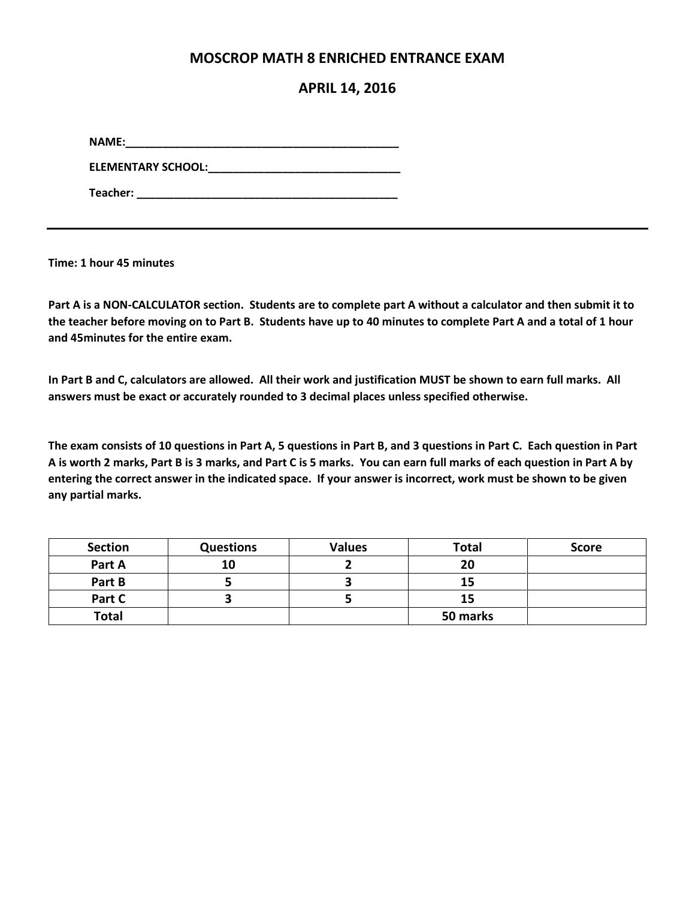## **MOSCROP MATH 8 ENRICHED ENTRANCE EXAM**

## **APRIL 14, 2016**

**NAME:\_\_\_\_\_\_\_\_\_\_\_\_\_\_\_\_\_\_\_\_\_\_\_\_\_\_\_\_\_\_\_\_\_\_\_\_\_\_\_\_\_\_\_\_**

**ELEMENTARY SCHOOL:\_\_\_\_\_\_\_\_\_\_\_\_\_\_\_\_\_\_\_\_\_\_\_\_\_\_\_\_\_\_\_**

**Teacher: \_\_\_\_\_\_\_\_\_\_\_\_\_\_\_\_\_\_\_\_\_\_\_\_\_\_\_\_\_\_\_\_\_\_\_\_\_\_\_\_\_\_**

**Time: 1 hour 45 minutes**

**Part A is a NON-CALCULATOR section. Students are to complete part A without a calculator and then submit it to the teacher before moving on to Part B. Students have up to 40 minutes to complete Part A and a total of 1 hour and 45minutes for the entire exam.** 

**In Part B and C, calculators are allowed. All their work and justification MUST be shown to earn full marks. All answers must be exact or accurately rounded to 3 decimal places unless specified otherwise.** 

**The exam consists of 10 questions in Part A, 5 questions in Part B, and 3 questions in Part C. Each question in Part A is worth 2 marks, Part B is 3 marks, and Part C is 5 marks. You can earn full marks of each question in Part A by entering the correct answer in the indicated space. If your answer is incorrect, work must be shown to be given any partial marks.** 

| <b>Section</b> | <b>Questions</b> | <b>Values</b> | <b>Total</b> | <b>Score</b> |
|----------------|------------------|---------------|--------------|--------------|
| Part A         | 10               |               | 20           |              |
| Part B         |                  |               | 15           |              |
| Part C         |                  |               | 15           |              |
| <b>Total</b>   |                  |               | 50 marks     |              |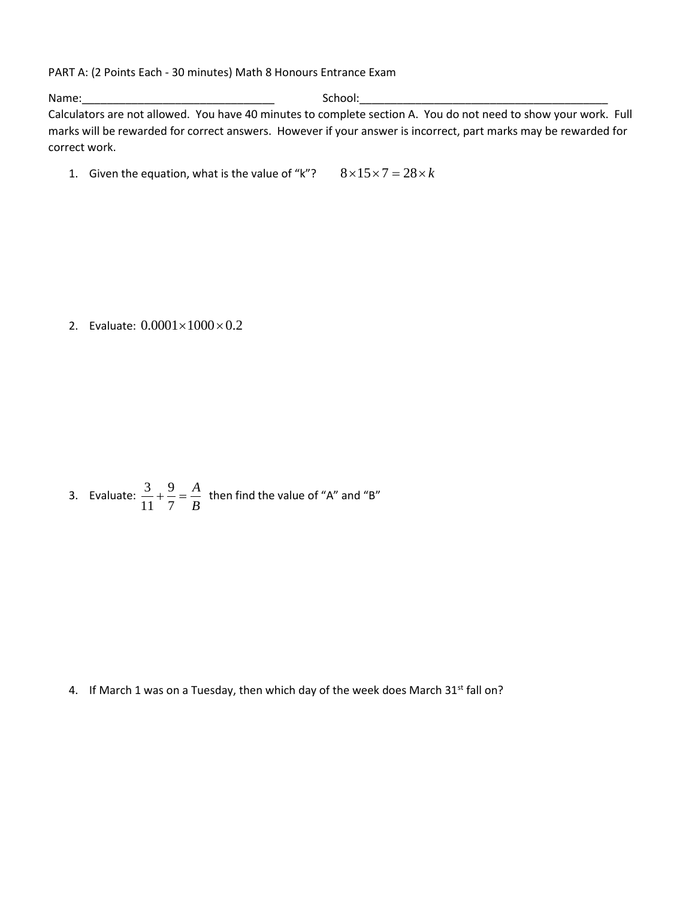PART A: (2 Points Each - 30 minutes) Math 8 Honours Entrance Exam

Name: where  $\blacksquare$ Calculators are not allowed. You have 40 minutes to complete section A. You do not need to show your work. Full marks will be rewarded for correct answers. However if your answer is incorrect, part marks may be rewarded for correct work.

1. Given the equation, what is the value of "k"?  $8 \times 15 \times 7 = 28 \times k$ 

2. Evaluate:  $0.0001 \times 1000 \times 0.2$ 

3. Evaluate: 
$$
\frac{3}{11} + \frac{9}{7} = \frac{A}{B}
$$
 then find the value of "A" and "B"

4. If March 1 was on a Tuesday, then which day of the week does March 31st fall on?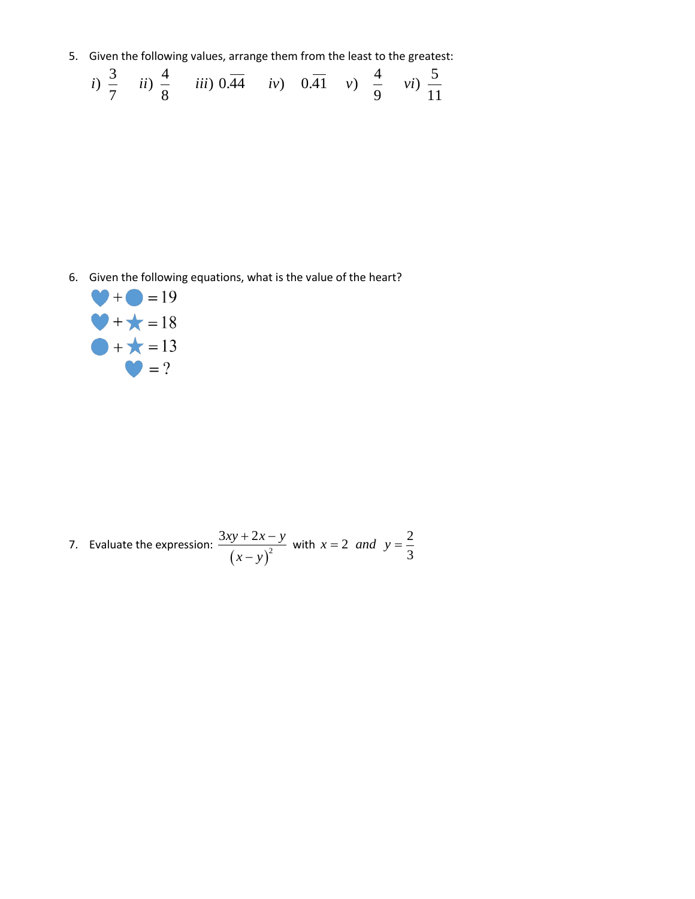5. Given the following values, arrange them from the least to the greatest:

Given the following values, arrange them from the least to the greatest  
\n*i*) 
$$
\frac{3}{7}
$$
 *ii*)  $\frac{4}{8}$  *iii*)  $0.\overline{44}$  *iv*)  $0.\overline{41}$  *v*)  $\frac{4}{9}$  *vi*)  $\frac{5}{11}$ 

6. Given the following equations, what is the value of the heart?



7. Evaluate the expression: 
$$
\frac{3xy + 2x - y}{(x - y)^2}
$$
 with  $x = 2$  and  $y = \frac{2}{3}$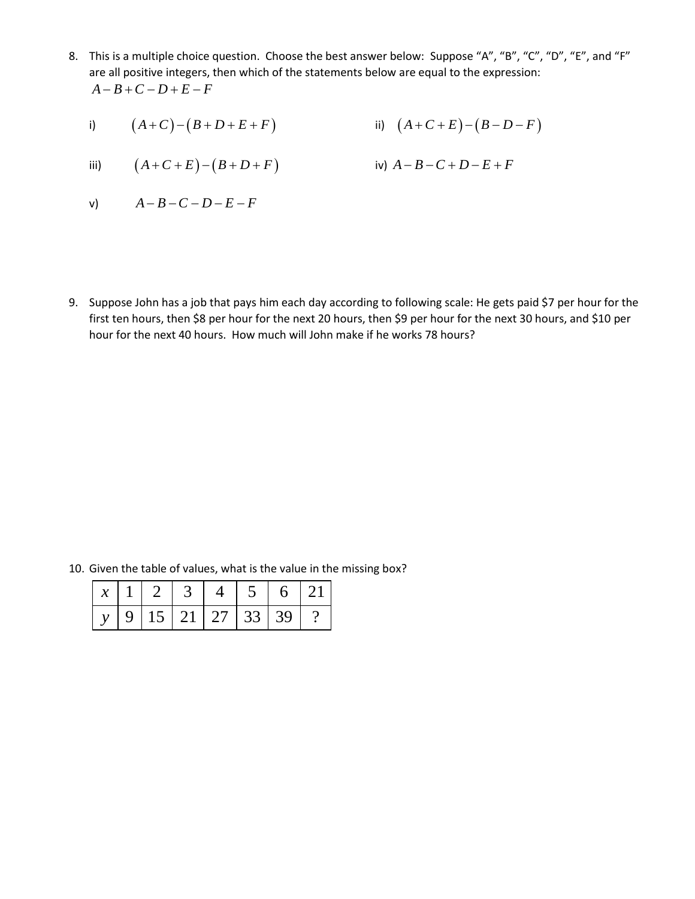- 8. This is a multiple choice question. Choose the best answer below: Suppose "A", "B", "C", "D", "E", and "F" are all positive integers, then which of the statements below are equal to the expression:  $A - B + C - D + E - F$ 
	- i)  $(A+C)-(B+D+E+F)$  ii)  $(A+C+E)-(B-D-F)$

iii) 
$$
(A+C+E)-(B+D+F)
$$
 iv)  $A-B-C+D-E+F$ 

$$
V) \qquad A-B-C-D-E-F
$$

9. Suppose John has a job that pays him each day according to following scale: He gets paid \$7 per hour for the first ten hours, then \$8 per hour for the next 20 hours, then \$9 per hour for the next 30 hours, and \$10 per hour for the next 40 hours. How much will John make if he works 78 hours?

|  |  |                                      |  | 10. Given the table of values, what is the value in the missing box? |
|--|--|--------------------------------------|--|----------------------------------------------------------------------|
|  |  | x   1   2   3   4   5                |  |                                                                      |
|  |  | $15 \mid 21 \mid 27 \mid 33 \mid 39$ |  |                                                                      |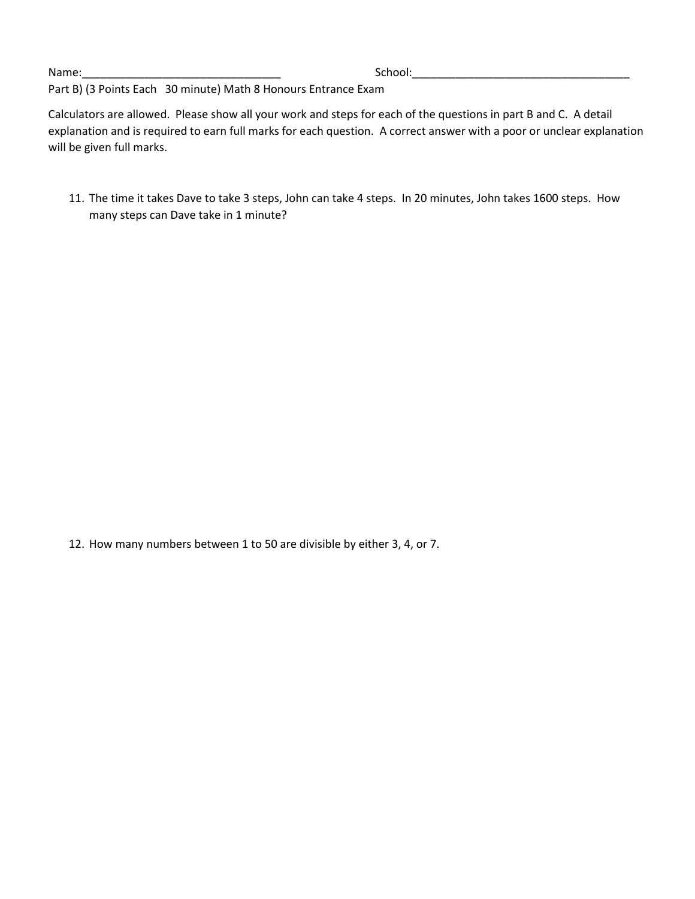Name:\_\_\_\_\_\_\_\_\_\_\_\_\_\_\_\_\_\_\_\_\_\_\_\_\_\_\_\_\_\_\_\_ School:\_\_\_\_\_\_\_\_\_\_\_\_\_\_\_\_\_\_\_\_\_\_\_\_\_\_\_\_\_\_\_\_\_\_\_

Part B) (3 Points Each 30 minute) Math 8 Honours Entrance Exam

Calculators are allowed. Please show all your work and steps for each of the questions in part B and C. A detail explanation and is required to earn full marks for each question. A correct answer with a poor or unclear explanation will be given full marks.

11. The time it takes Dave to take 3 steps, John can take 4 steps. In 20 minutes, John takes 1600 steps. How many steps can Dave take in 1 minute?

12. How many numbers between 1 to 50 are divisible by either 3, 4, or 7.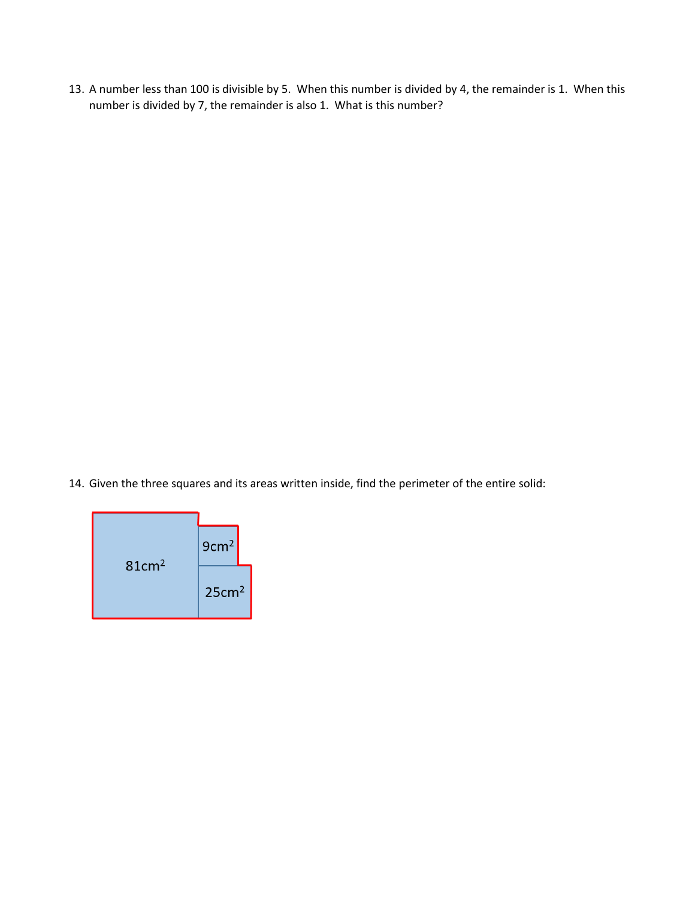13. A number less than 100 is divisible by 5. When this number is divided by 4, the remainder is 1. When this number is divided by 7, the remainder is also 1. What is this number?

14. Given the three squares and its areas written inside, find the perimeter of the entire solid:

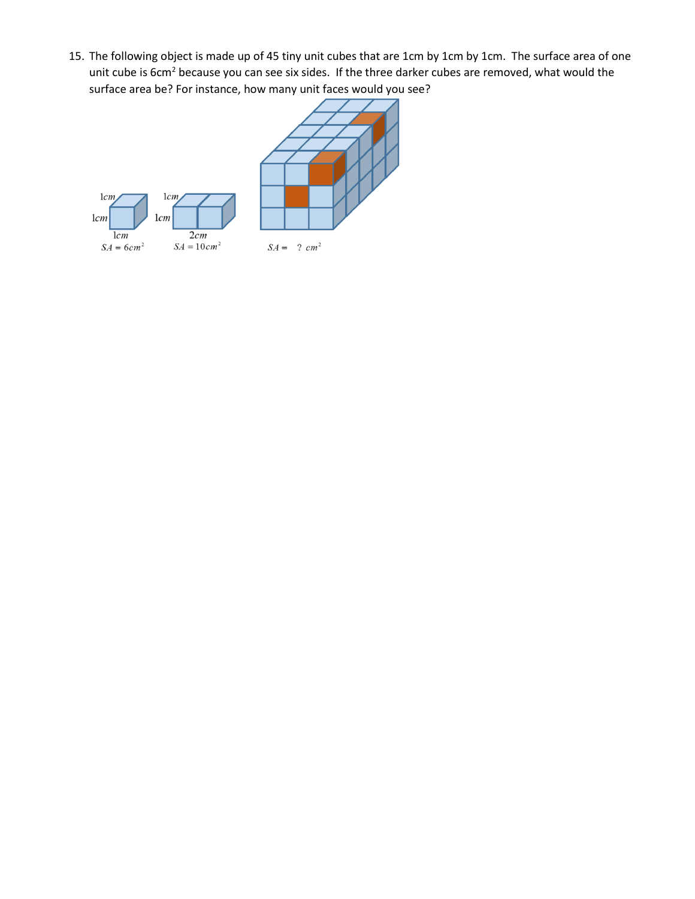15. The following object is made up of 45 tiny unit cubes that are 1cm by 1cm by 1cm. The surface area of one unit cube is 6cm<sup>2</sup> because you can see six sides. If the three darker cubes are removed, what would the surface area be? For instance, how many unit faces would you see?

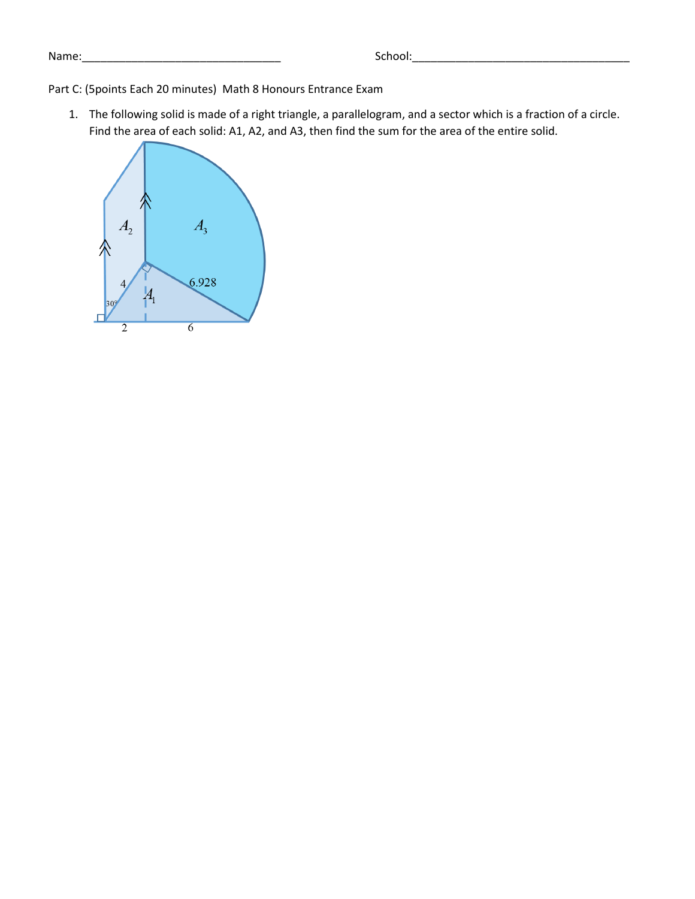Part C: (5points Each 20 minutes) Math 8 Honours Entrance Exam

1. The following solid is made of a right triangle, a parallelogram, and a sector which is a fraction of a circle. Find the area of each solid: A1, A2, and A3, then find the sum for the area of the entire solid.

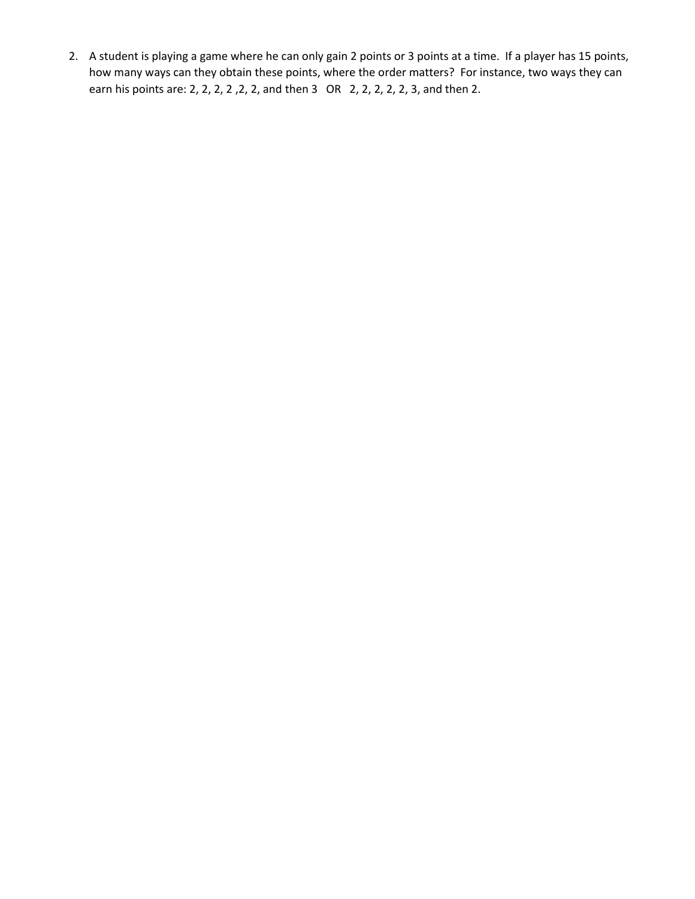2. A student is playing a game where he can only gain 2 points or 3 points at a time. If a player has 15 points, how many ways can they obtain these points, where the order matters? For instance, two ways they can earn his points are: 2, 2, 2, 2 ,2, 2, and then 3 OR 2, 2, 2, 2, 2, 3, and then 2.